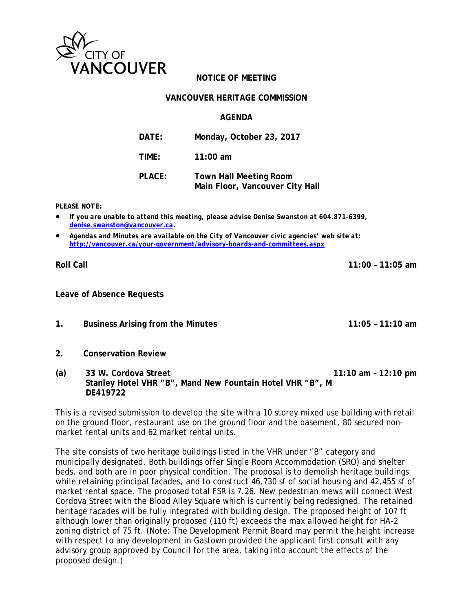

# **NOTICE OF MEETING**

#### **VANCOUVER HERITAGE COMMISSION**

#### **AGENDA**

| DATE:         | Monday, October 23, 2017                                         |
|---------------|------------------------------------------------------------------|
| TIME:         | 11:00 am                                                         |
| <b>PLACE:</b> | <b>Town Hall Meeting Room</b><br>Main Floor, Vancouver City Hall |

*PLEASE NOTE:* 

- *If you are unable to attend this meeting, please advise Denise Swanston at 604.871-6399, denise.swanston@vancouver.ca.*
- *Agendas and Minutes are available on the City of Vancouver civic agencies' web site at: http://vancouver.ca/your-government/advisory-boards-and-committees.aspx*

**Roll Call 11:00 – 11:05 am** 

**Leave of Absence Requests** 

- **1. Business Arising from the Minutes 11:05 11:10 am**
- **2. Conservation Review**
- **(a) 33 W. Cordova Street 11:10 am 12:10 pm Stanley Hotel VHR "B", Mand New Fountain Hotel VHR "B", M DE419722**

This is a revised submission to develop the site with a 10 storey mixed use building with retail on the ground floor, restaurant use on the ground floor and the basement, 80 secured nonmarket rental units and 62 market rental units.

The site consists of two heritage buildings listed in the VHR under "B" category and municipally designated. Both buildings offer Single Room Accommodation (SRO) and shelter beds, and both are in poor physical condition. The proposal is to demolish heritage buildings while retaining principal facades, and to construct 46,730 sf of social housing and 42,455 sf of market rental space. The proposed total FSR is 7.26. New pedestrian mews will connect West Cordova Street with the Blood Alley Square which is currently being redesigned. The retained heritage facades will be fully integrated with building design. The proposed height of 107 ft although lower than originally proposed (110 ft) exceeds the max allowed height for HA-2 zoning district of 75 ft. (Note: The Development Permit Board may permit the height increase with respect to any development in Gastown provided the applicant first consult with any advisory group approved by Council for the area, taking into account the effects of the proposed design.)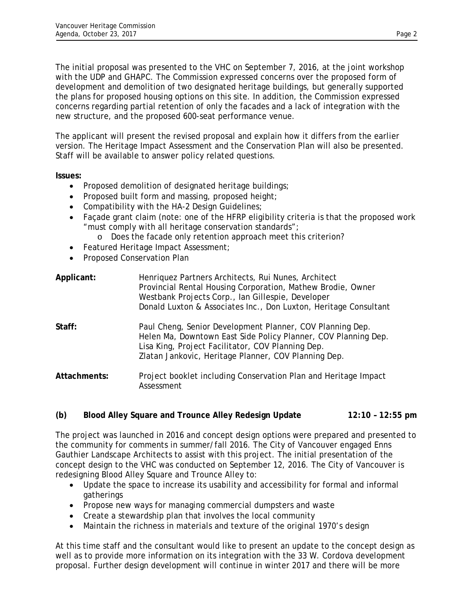The initial proposal was presented to the VHC on September 7, 2016, at the joint workshop with the UDP and GHAPC. The Commission expressed concerns over the proposed form of development and demolition of two designated heritage buildings, but generally supported the plans for proposed housing options on this site. In addition, the Commission expressed concerns regarding partial retention of only the facades and a lack of integration with the new structure, and the proposed 600-seat performance venue.

The applicant will present the revised proposal and explain how it differs from the earlier version. The Heritage Impact Assessment and the Conservation Plan will also be presented. Staff will be available to answer policy related questions.

**Issues:**

- Proposed demolition of designated heritage buildings;
- Proposed built form and massing, proposed height;
- Compatibility with the HA-2 Design Guidelines;
- Facade grant claim (note: one of the HFRP eligibility criteria is that the proposed work "must comply with all heritage conservation standards";
	- o Does the facade only retention approach meet this criterion?
- Featured Heritage Impact Assessment;
- Proposed Conservation Plan

| Applicant:   | Henriquez Partners Architects, Rui Nunes, Architect<br>Provincial Rental Housing Corporation, Mathew Brodie, Owner<br>Westbank Projects Corp., Ian Gillespie, Developer<br>Donald Luxton & Associates Inc., Don Luxton, Heritage Consultant |
|--------------|---------------------------------------------------------------------------------------------------------------------------------------------------------------------------------------------------------------------------------------------|
| Staff:       | Paul Cheng, Senior Development Planner, COV Planning Dep.<br>Helen Ma, Downtown East Side Policy Planner, COV Planning Dep.<br>Lisa King, Project Facilitator, COV Planning Dep.<br>Zlatan Jankovic, Heritage Planner, COV Planning Dep.    |
| Attachments: | Project booklet including Conservation Plan and Heritage Impact<br>Assessment                                                                                                                                                               |

## **(b) Blood Alley Square and Trounce Alley Redesign Update 12:10 – 12:55 pm**

The project was launched in 2016 and concept design options were prepared and presented to the community for comments in summer/fall 2016. The City of Vancouver engaged Enns Gauthier Landscape Architects to assist with this project. The initial presentation of the concept design to the VHC was conducted on September 12, 2016. The City of Vancouver is redesigning Blood Alley Square and Trounce Alley to:

- Update the space to increase its usability and accessibility for formal and informal gatherings
- Propose new ways for managing commercial dumpsters and waste
- Create a stewardship plan that involves the local community
- Maintain the richness in materials and texture of the original 1970's design

At this time staff and the consultant would like to present an update to the concept design as well as to provide more information on its integration with the 33 W. Cordova development proposal. Further design development will continue in winter 2017 and there will be more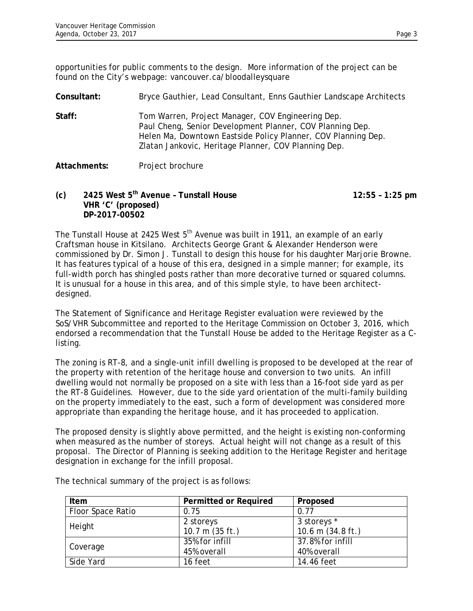opportunities for public comments to the design. More information of the project can be found on the City's webpage: vancouver.ca/bloodalleysquare

**Consultant:** Bryce Gauthier, Lead Consultant, Enns Gauthier Landscape Architects **Staff:** Tom Warren, Project Manager, COV Engineering Dep. Paul Cheng, Senior Development Planner, COV Planning Dep. Helen Ma, Downtown Eastside Policy Planner, COV Planning Dep. Zlatan Jankovic, Heritage Planner, COV Planning Dep.

## **Attachments:** Project brochure

**(c) 2425 West 5th Avenue – Tunstall House 12:55 – 1:25 pm VHR 'C' (proposed) DP-2017-00502** 

The Tunstall House at 2425 West  $5<sup>th</sup>$  Avenue was built in 1911, an example of an early Craftsman house in Kitsilano. Architects George Grant & Alexander Henderson were commissioned by Dr. Simon J. Tunstall to design this house for his daughter Marjorie Browne. It has features typical of a house of this era, designed in a simple manner; for example, its full-width porch has shingled posts rather than more decorative turned or squared columns. It is unusual for a house in this area, and of this simple style, to have been architectdesigned.

The Statement of Significance and Heritage Register evaluation were reviewed by the SoS/VHR Subcommittee and reported to the Heritage Commission on October 3, 2016, which endorsed a recommendation that the Tunstall House be added to the Heritage Register as a Clisting.

The zoning is RT-8, and a single-unit infill dwelling is proposed to be developed at the rear of the property with retention of the heritage house and conversion to two units. An infill dwelling would not normally be proposed on a site with less than a 16-foot side yard as per the RT-8 Guidelines. However, due to the side yard orientation of the multi-family building on the property immediately to the east, such a form of development was considered more appropriate than expanding the heritage house, and it has proceeded to application.

The proposed density is slightly above permitted, and the height is existing non-conforming when measured as the number of storeys. Actual height will not change as a result of this proposal. The Director of Planning is seeking addition to the Heritage Register and heritage designation in exchange for the infill proposal.

| Item              | <b>Permitted or Required</b> | Proposed                    |
|-------------------|------------------------------|-----------------------------|
| Floor Space Ratio | 0.75                         | 0.77                        |
| Height            | 2 storeys                    | 3 storeys *                 |
|                   | 10.7 m (35 ft.)              | 10.6 m $(34.8 \text{ ft.})$ |
|                   | 35% for infill               | 37.8% for infill            |
| Coverage          | 45% overall                  | 40% overall                 |
| Side Yard         | 16 feet                      | 14.46 feet                  |

The technical summary of the project is as follows: